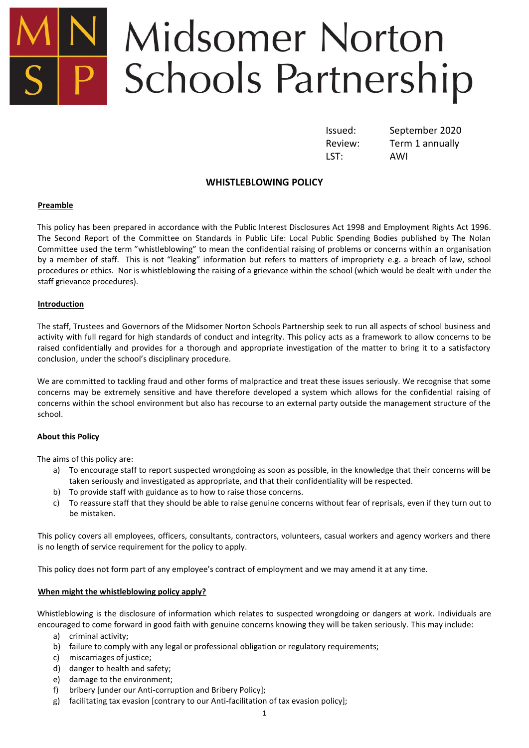# Midsomer Norton P Schools Partnership

LST: AWI

Issued: September 2020 Review: Term 1 annually

## **WHISTLEBLOWING POLICY**

#### **Preamble**

This policy has been prepared in accordance with the Public Interest Disclosures Act 1998 and Employment Rights Act 1996. The Second Report of the Committee on Standards in Public Life: Local Public Spending Bodies published by The Nolan Committee used the term "whistleblowing" to mean the confidential raising of problems or concerns within an organisation by a member of staff. This is not "leaking" information but refers to matters of impropriety e.g. a breach of law, school procedures or ethics. Nor is whistleblowing the raising of a grievance within the school (which would be dealt with under the staff grievance procedures).

#### **Introduction**

The staff, Trustees and Governors of the Midsomer Norton Schools Partnership seek to run all aspects of school business and activity with full regard for high standards of conduct and integrity. This policy acts as a framework to allow concerns to be raised confidentially and provides for a thorough and appropriate investigation of the matter to bring it to a satisfactory conclusion, under the school's disciplinary procedure.

We are committed to tackling fraud and other forms of malpractice and treat these issues seriously. We recognise that some concerns may be extremely sensitive and have therefore developed a system which allows for the confidential raising of concerns within the school environment but also has recourse to an external party outside the management structure of the school.

#### **About this Policy**

The aims of this policy are:

- a) To encourage staff to report suspected wrongdoing as soon as possible, in the knowledge that their concerns will be taken seriously and investigated as appropriate, and that their confidentiality will be respected.
- b) To provide staff with guidance as to how to raise those concerns.
- c) To reassure staff that they should be able to raise genuine concerns without fear of reprisals, even if they turn out to be mistaken.

This policy covers all employees, officers, consultants, contractors, volunteers, casual workers and agency workers and there is no length of service requirement for the policy to apply.

This policy does not form part of any employee's contract of employment and we may amend it at any time.

### **When might the whistleblowing policy apply?**

Whistleblowing is the disclosure of information which relates to suspected wrongdoing or dangers at work. Individuals are encouraged to come forward in good faith with genuine concerns knowing they will be taken seriously. This may include:

- a) criminal activity;
- b) failure to comply with any legal or professional obligation or regulatory requirements;
- c) miscarriages of justice;
- d) danger to health and safety;
- e) damage to the environment;
- f) bribery [under our Anti-corruption and Bribery Policy];
- g) facilitating tax evasion [contrary to our Anti-facilitation of tax evasion policy];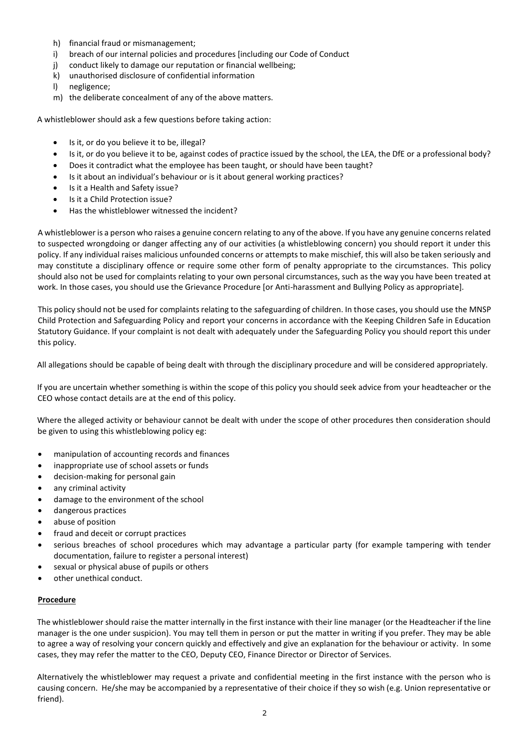- h) financial fraud or mismanagement;
- i) breach of our internal policies and procedures [including our Code of Conduct
- j) conduct likely to damage our reputation or financial wellbeing;
- k) unauthorised disclosure of confidential information
- l) negligence;
- m) the deliberate concealment of any of the above matters.

A whistleblower should ask a few questions before taking action:

- Is it, or do you believe it to be, illegal?
- Is it, or do you believe it to be, against codes of practice issued by the school, the LEA, the DfE or a professional body?
- Does it contradict what the employee has been taught, or should have been taught?
- Is it about an individual's behaviour or is it about general working practices?
- Is it a Health and Safety issue?
- Is it a Child Protection issue?
- Has the whistleblower witnessed the incident?

A whistleblower is a person who raises a genuine concern relating to any of the above. If you have any genuine concerns related to suspected wrongdoing or danger affecting any of our activities (a whistleblowing concern) you should report it under this policy. If any individual raises malicious unfounded concerns or attempts to make mischief, this will also be taken seriously and may constitute a disciplinary offence or require some other form of penalty appropriate to the circumstances. This policy should also not be used for complaints relating to your own personal circumstances, such as the way you have been treated at work. In those cases, you should use the Grievance Procedure [or Anti-harassment and Bullying Policy as appropriate].

This policy should not be used for complaints relating to the safeguarding of children. In those cases, you should use the MNSP Child Protection and Safeguarding Policy and report your concerns in accordance with the Keeping Children Safe in Education Statutory Guidance. If your complaint is not dealt with adequately under the Safeguarding Policy you should report this under this policy.

All allegations should be capable of being dealt with through the disciplinary procedure and will be considered appropriately.

If you are uncertain whether something is within the scope of this policy you should seek advice from your headteacher or the CEO whose contact details are at the end of this policy.

Where the alleged activity or behaviour cannot be dealt with under the scope of other procedures then consideration should be given to using this whistleblowing policy eg:

- manipulation of accounting records and finances
- inappropriate use of school assets or funds
- decision-making for personal gain
- any criminal activity
- damage to the environment of the school
- dangerous practices
- abuse of position
- fraud and deceit or corrupt practices
- serious breaches of school procedures which may advantage a particular party (for example tampering with tender documentation, failure to register a personal interest)
- sexual or physical abuse of pupils or others
- other unethical conduct.

#### **Procedure**

The whistleblower should raise the matter internally in the first instance with their line manager (or the Headteacher if the line manager is the one under suspicion). You may tell them in person or put the matter in writing if you prefer. They may be able to agree a way of resolving your concern quickly and effectively and give an explanation for the behaviour or activity. In some cases, they may refer the matter to the CEO, Deputy CEO, Finance Director or Director of Services.

Alternatively the whistleblower may request a private and confidential meeting in the first instance with the person who is causing concern. He/she may be accompanied by a representative of their choice if they so wish (e.g. Union representative or friend).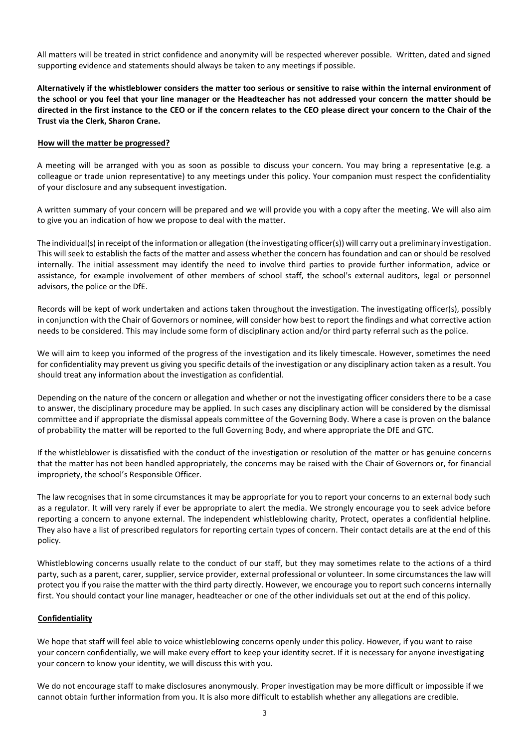All matters will be treated in strict confidence and anonymity will be respected wherever possible. Written, dated and signed supporting evidence and statements should always be taken to any meetings if possible.

**Alternatively if the whistleblower considers the matter too serious or sensitive to raise within the internal environment of the school or you feel that your line manager or the Headteacher has not addressed your concern the matter should be directed in the first instance to the CEO or if the concern relates to the CEO please direct your concern to the Chair of the Trust via the Clerk, Sharon Crane.**

#### **How will the matter be progressed?**

A meeting will be arranged with you as soon as possible to discuss your concern. You may bring a representative (e.g. a colleague or trade union representative) to any meetings under this policy. Your companion must respect the confidentiality of your disclosure and any subsequent investigation.

A written summary of your concern will be prepared and we will provide you with a copy after the meeting. We will also aim to give you an indication of how we propose to deal with the matter.

The individual(s) in receipt of the information or allegation (the investigating officer(s)) will carry out a preliminary investigation. This will seek to establish the facts of the matter and assess whether the concern has foundation and can or should be resolved internally. The initial assessment may identify the need to involve third parties to provide further information, advice or assistance, for example involvement of other members of school staff, the school's external auditors, legal or personnel advisors, the police or the DfE.

Records will be kept of work undertaken and actions taken throughout the investigation. The investigating officer(s), possibly in conjunction with the Chair of Governors or nominee, will consider how best to report the findings and what corrective action needs to be considered. This may include some form of disciplinary action and/or third party referral such as the police.

We will aim to keep you informed of the progress of the investigation and its likely timescale. However, sometimes the need for confidentiality may prevent us giving you specific details of the investigation or any disciplinary action taken as a result. You should treat any information about the investigation as confidential.

Depending on the nature of the concern or allegation and whether or not the investigating officer considers there to be a case to answer, the disciplinary procedure may be applied. In such cases any disciplinary action will be considered by the dismissal committee and if appropriate the dismissal appeals committee of the Governing Body. Where a case is proven on the balance of probability the matter will be reported to the full Governing Body, and where appropriate the DfE and GTC.

If the whistleblower is dissatisfied with the conduct of the investigation or resolution of the matter or has genuine concerns that the matter has not been handled appropriately, the concerns may be raised with the Chair of Governors or, for financial impropriety, the school's Responsible Officer.

The law recognises that in some circumstances it may be appropriate for you to report your concerns to an external body such as a regulator. It will very rarely if ever be appropriate to alert the media. We strongly encourage you to seek advice before reporting a concern to anyone external. The independent whistleblowing charity, Protect, operates a confidential helpline. They also have a list of prescribed regulators for reporting certain types of concern. Their contact details are at the end of this policy.

Whistleblowing concerns usually relate to the conduct of our staff, but they may sometimes relate to the actions of a third party, such as a parent, carer, supplier, service provider, external professional or volunteer. In some circumstances the law will protect you if you raise the matter with the third party directly. However, we encourage you to report such concerns internally first. You should contact your line manager, headteacher or one of the other individuals set out at the end of this policy.

#### **Confidentiality**

We hope that staff will feel able to voice whistleblowing concerns openly under this policy. However, if you want to raise your concern confidentially, we will make every effort to keep your identity secret. If it is necessary for anyone investigating your concern to know your identity, we will discuss this with you.

We do not encourage staff to make disclosures anonymously. Proper investigation may be more difficult or impossible if we cannot obtain further information from you. It is also more difficult to establish whether any allegations are credible.